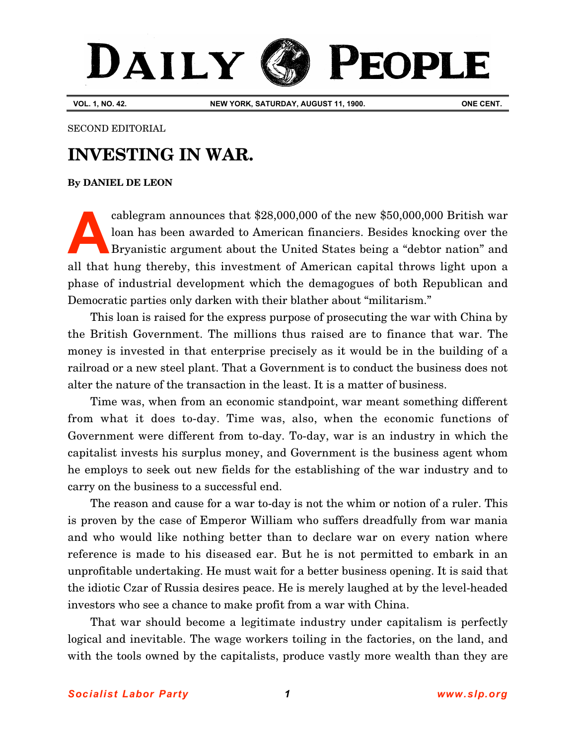## DAILY **PEOPLE**

**VOL. 1, NO. 42. NEW YORK, SATURDAY, AUGUST 11, 1900. ONE CENT.**

## SECOND EDITORIAL

## **INVESTING IN WAR.**

## **[By DANIEL DE LEON](http://www.slp.org/De_Leon.htm)**

cablegram announces that \$28,000,000 of the new \$50,000,000 British war loan has been awarded to American financiers. Besides knocking over the Bryanistic argument about the United States being a "debtor nation" and all that hung thereby, this investment of American capital throws light upon a phase of industrial development which the demagogues of both Republican and Democratic parties only darken with their blather about "militarism." **A**

This loan is raised for the express purpose of prosecuting the war with China by the British Government. The millions thus raised are to finance that war. The money is invested in that enterprise precisely as it would be in the building of a railroad or a new steel plant. That a Government is to conduct the business does not alter the nature of the transaction in the least. It is a matter of business.

Time was, when from an economic standpoint, war meant something different from what it does to-day. Time was, also, when the economic functions of Government were different from to-day. To-day, war is an industry in which the capitalist invests his surplus money, and Government is the business agent whom he employs to seek out new fields for the establishing of the war industry and to carry on the business to a successful end.

The reason and cause for a war to-day is not the whim or notion of a ruler. This is proven by the case of Emperor William who suffers dreadfully from war mania and who would like nothing better than to declare war on every nation where reference is made to his diseased ear. But he is not permitted to embark in an unprofitable undertaking. He must wait for a better business opening. It is said that the idiotic Czar of Russia desires peace. He is merely laughed at by the level-headed investors who see a chance to make profit from a war with China.

That war should become a legitimate industry under capitalism is perfectly logical and inevitable. The wage workers toiling in the factories, on the land, and with the tools owned by the capitalists, produce vastly more wealth than they are